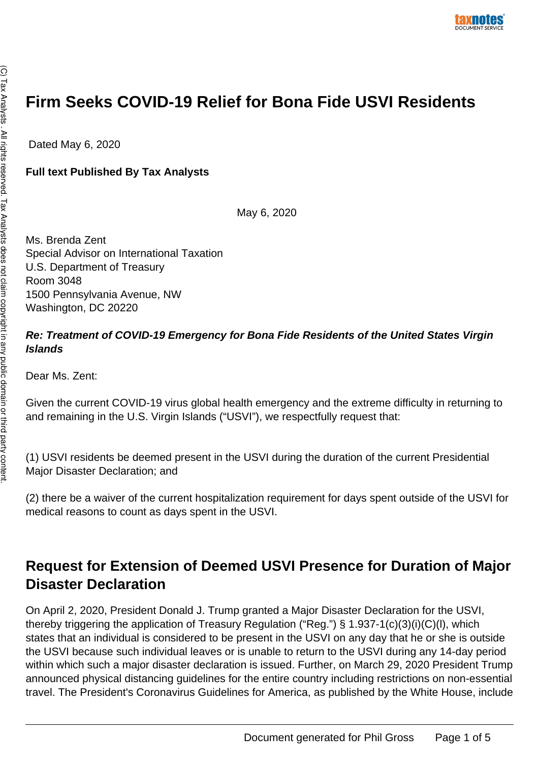# **Firm Seeks COVID-19 Relief for Bona Fide USVI Residents**

Dated May 6, 2020

#### **Full text Published By Tax Analysts**

May 6, 2020

Ms. Brenda Zent Special Advisor on International Taxation U.S. Department of Treasury Room 3048 1500 Pennsylvania Avenue, NW Washington, DC 20220

#### **Re: Treatment of COVID-19 Emergency for Bona Fide Residents of the United States Virgin Islands**

Dear Ms. Zent:

Given the current COVID-19 virus global health emergency and the extreme difficulty in returning to and remaining in the U.S. Virgin Islands ("USVI"), we respectfully request that:

(1) USVI residents be deemed present in the USVI during the duration of the current Presidential Major Disaster Declaration; and

(2) there be a waiver of the current hospitalization requirement for days spent outside of the USVI for medical reasons to count as days spent in the USVI.

## **Request for Extension of Deemed USVI Presence for Duration of Major Disaster Declaration**

On April 2, 2020, President Donald J. Trump granted a Major Disaster Declaration for the USVI, thereby triggering the application of Treasury Regulation ("Reg.") § 1.937-1(c)(3)(i)(C)(l), which states that an individual is considered to be present in the USVI on any day that he or she is outside the USVI because such individual leaves or is unable to return to the USVI during any 14-day period within which such a major disaster declaration is issued. Further, on March 29, 2020 President Trump announced physical distancing guidelines for the entire country including restrictions on non-essential travel. The President's Coronavirus Guidelines for America, as published by the White House, include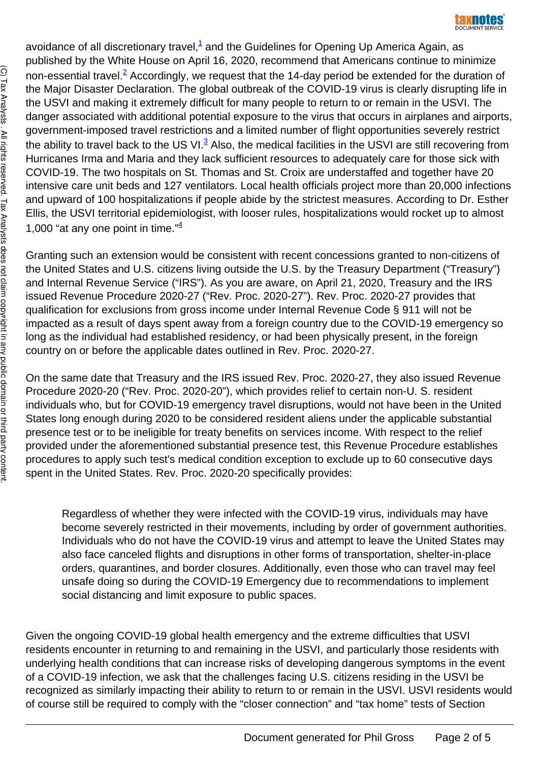avoidance of all discretionary travel,<sup>[1](https://www.taxnotes.com/email-pdfAjax-validate#2cj46-0000001)</sup> and the Guidelines for Opening Up America Again, as published by the White House on April 16, 2020, recommend that Americans continue to minimize non-essential travel.<sup>[2](https://www.taxnotes.com/email-pdfAjax-validate#2cj46-0000002)</sup> Accordingly, we request that the 14-day period be extended for the duration of the Major Disaster Declaration. The global outbreak of the COVID-19 virus is clearly disrupting life in the USVI and making it extremely difficult for many people to return to or remain in the USVI. The danger associated with additional potential exposure to the virus that occurs in airplanes and airports, government-imposed travel restrictions and a limited number of flight opportunities severely restrict the ability to travel back to the US VI.<sup>[3](https://www.taxnotes.com/email-pdfAjax-validate#2cj46-0000003)</sup> Also, the medical facilities in the USVI are still recovering from Hurricanes Irma and Maria and they lack sufficient resources to adequately care for those sick with COVID-19. The two hospitals on St. Thomas and St. Croix are understaffed and together have 20 intensive care unit beds and 127 ventilators. Local health officials project more than 20,000 infections and upward of 100 hospitalizations if people abide by the strictest measures. According to Dr. Esther Ellis, the USVI territorial epidemiologist, with looser rules, hospitalizations would rocket up to almost 1,000 "at any one point in time." $\frac{4}{3}$  $\frac{4}{3}$  $\frac{4}{3}$ 

Granting such an extension would be consistent with recent concessions granted to non-citizens of the United States and U.S. citizens living outside the U.S. by the Treasury Department ("Treasury") and Internal Revenue Service ("IRS"). As you are aware, on April 21, 2020, Treasury and the IRS issued Revenue Procedure 2020-27 ("Rev. Proc. 2020-27"). Rev. Proc. 2020-27 provides that qualification for exclusions from gross income under Internal Revenue Code § 911 will not be impacted as a result of days spent away from a foreign country due to the COVID-19 emergency so long as the individual had established residency, or had been physically present, in the foreign country on or before the applicable dates outlined in Rev. Proc. 2020-27.

On the same date that Treasury and the IRS issued Rev. Proc. 2020-27, they also issued Revenue Procedure 2020-20 ("Rev. Proc. 2020-20"), which provides relief to certain non-U. S. resident individuals who, but for COVID-19 emergency travel disruptions, would not have been in the United States long enough during 2020 to be considered resident aliens under the applicable substantial presence test or to be ineligible for treaty benefits on services income. With respect to the relief provided under the aforementioned substantial presence test, this Revenue Procedure establishes procedures to apply such test's medical condition exception to exclude up to 60 consecutive days spent in the United States. Rev. Proc. 2020-20 specifically provides:

Regardless of whether they were infected with the COVID-19 virus, individuals may have become severely restricted in their movements, including by order of government authorities. Individuals who do not have the COVID-19 virus and attempt to leave the United States may also face canceled flights and disruptions in other forms of transportation, shelter-in-place orders, quarantines, and border closures. Additionally, even those who can travel may feel unsafe doing so during the COVID-19 Emergency due to recommendations to implement social distancing and limit exposure to public spaces.

Given the ongoing COVID-19 global health emergency and the extreme difficulties that USVI residents encounter in returning to and remaining in the USVI, and particularly those residents with underlying health conditions that can increase risks of developing dangerous symptoms in the event of a COVID-19 infection, we ask that the challenges facing U.S. citizens residing in the USVI be recognized as similarly impacting their ability to return to or remain in the USVI. USVI residents would of course still be required to comply with the "closer connection" and "tax home" tests of Section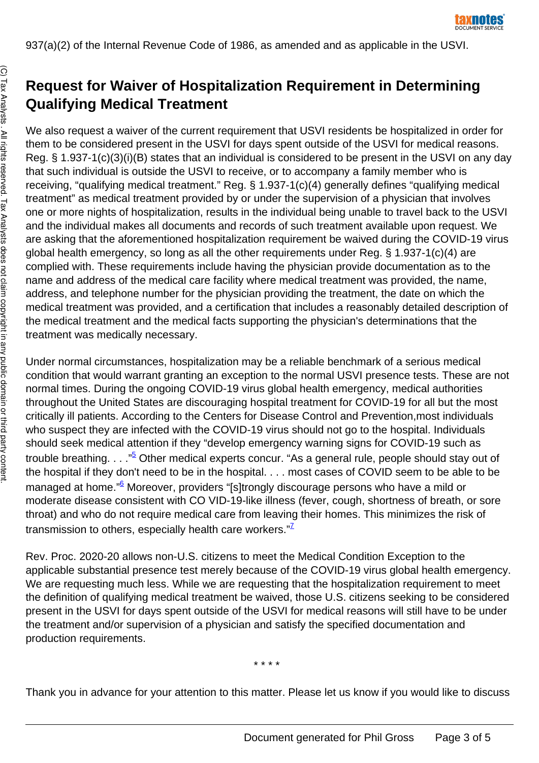

# **Request for Waiver of Hospitalization Requirement in Determining Qualifying Medical Treatment**

We also request a waiver of the current requirement that USVI residents be hospitalized in order for them to be considered present in the USVI for days spent outside of the USVI for medical reasons. Reg. § 1.937-1(c)(3)(i)(B) states that an individual is considered to be present in the USVI on any day that such individual is outside the USVI to receive, or to accompany a family member who is receiving, "qualifying medical treatment." Reg. § 1.937-1(c)(4) generally defines "qualifying medical treatment" as medical treatment provided by or under the supervision of a physician that involves one or more nights of hospitalization, results in the individual being unable to travel back to the USVI and the individual makes all documents and records of such treatment available upon request. We are asking that the aforementioned hospitalization requirement be waived during the COVID-19 virus global health emergency, so long as all the other requirements under Reg. § 1.937-1(c)(4) are complied with. These requirements include having the physician provide documentation as to the name and address of the medical care facility where medical treatment was provided, the name, address, and telephone number for the physician providing the treatment, the date on which the medical treatment was provided, and a certification that includes a reasonably detailed description of the medical treatment and the medical facts supporting the physician's determinations that the treatment was medically necessary.

Under normal circumstances, hospitalization may be a reliable benchmark of a serious medical condition that would warrant granting an exception to the normal USVI presence tests. These are not normal times. During the ongoing COVID-19 virus global health emergency, medical authorities throughout the United States are discouraging hospital treatment for COVID-19 for all but the most critically ill patients. According to the Centers for Disease Control and Prevention,most individuals who suspect they are infected with the COVID-19 virus should not go to the hospital. Individuals should seek medical attention if they "develop emergency warning signs for COVID-19 such as trouble breathing. . . ."<sup>[5](https://www.taxnotes.com/email-pdfAjax-validate#2cj46-0000005)</sup> Other medical experts concur. "As a general rule, people should stay out of the hospital if they don't need to be in the hospital. . . . most cases of COVID seem to be able to be managed at home."<sup>[6](https://www.taxnotes.com/email-pdfAjax-validate#2cj46-0000006)</sup> Moreover, providers "[s]trongly discourage persons who have a mild or moderate disease consistent with CO VID-19-like illness (fever, cough, shortness of breath, or sore throat) and who do not require medical care from leaving their homes. This minimizes the risk of transmission to others, especially health care workers." $\mathbb{Z}$ 

Rev. Proc. 2020-20 allows non-U.S. citizens to meet the Medical Condition Exception to the applicable substantial presence test merely because of the COVID-19 virus global health emergency. We are requesting much less. While we are requesting that the hospitalization requirement to meet the definition of qualifying medical treatment be waived, those U.S. citizens seeking to be considered present in the USVI for days spent outside of the USVI for medical reasons will still have to be under the treatment and/or supervision of a physician and satisfy the specified documentation and production requirements.

\* \* \* \*

Thank you in advance for your attention to this matter. Please let us know if you would like to discuss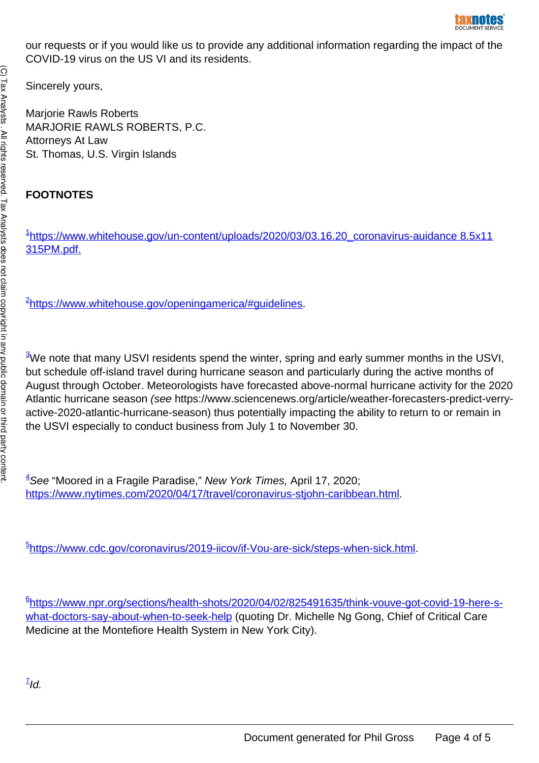our requests or if you would like us to provide any additional information regarding the impact of the COVID-19 virus on the US VI and its residents.

Sincerely yours,

Marjorie Rawls Roberts MARJORIE RAWLS ROBERTS, P.C. Attorneys At Law St. Thomas, U.S. Virgin Islands

### **FOOTNOTES**

<sup>[1](https://www.taxnotes.com/email-pdfAjax-validate#2cj46-0000008)</sup>[https://www.whitehouse.gov/un-content/uploads/2020/03/03.16.20\\_coronavirus-auidance 8.5x11](http://www.whitehouse.tlov/un-content/uploads/202) [315PM.pdf.](http://www.whitehouse.tlov/un-content/uploads/202)

<sup>[2](https://www.taxnotes.com/email-pdfAjax-validate#2cj46-0000009)</sup>[https://www.whitehouse.gov/openingamerica/#guidelines](https://www.whitehouse.gov/openingamerica/%2523guidelines).

<sup>[3](https://www.taxnotes.com/email-pdfAjax-validate#2cj46-0000010)</sup>We note that many USVI residents spend the winter, spring and early summer months in the USVI, but schedule off-island travel during hurricane season and particularly during the active months of August through October. Meteorologists have forecasted above-normal hurricane activity for the 2020 Atlantic hurricane season (see https://www.sciencenews.org/article/weather-forecasters-predict-verryactive-2020-atlantic-hurricane-season) thus potentially impacting the ability to return to or remain in the USVI especially to conduct business from July 1 to November 30.

 $4$ See "Moored in a Fragile Paradise," New York Times, April 17, 2020; [https://www.nytimes.com/2020/04/17/travel/coronavirus-stjohn-caribbean.html](https://www.nvtimes.com/2020/04/17/travel/coronavirus-stiohn-caribbean.html).

<sup>[5](https://www.taxnotes.com/email-pdfAjax-validate#2cj46-0000012)</sup>[https://www.cdc.gov/coronavirus/2019-iicov/if-Vou-are-sick/steps-when-sick.html.](https://www.cdc.gov/coronavirus/2019-iicov/if-Vou-are-sickZsteps-when-sick.html)

[6](https://www.taxnotes.com/email-pdfAjax-validate#2cj46-0000013) [https://www.npr.org/sections/health-shots/2020/04/02/825491635/think-vouve-got-covid-19-here-s](https://www.npr.org/sections/health-shots/2020/04/02/825491635/think-vouve-got-covid-19-here-s-what-doctors-say-about-when-to-seek-help)[what-doctors-say-about-when-to-seek-help](https://www.npr.org/sections/health-shots/2020/04/02/825491635/think-vouve-got-covid-19-here-s-what-doctors-say-about-when-to-seek-help) (quoting Dr. Michelle Ng Gong, Chief of Critical Care Medicine at the Montefiore Health System in New York City).

 $\widehat{\Omega}$